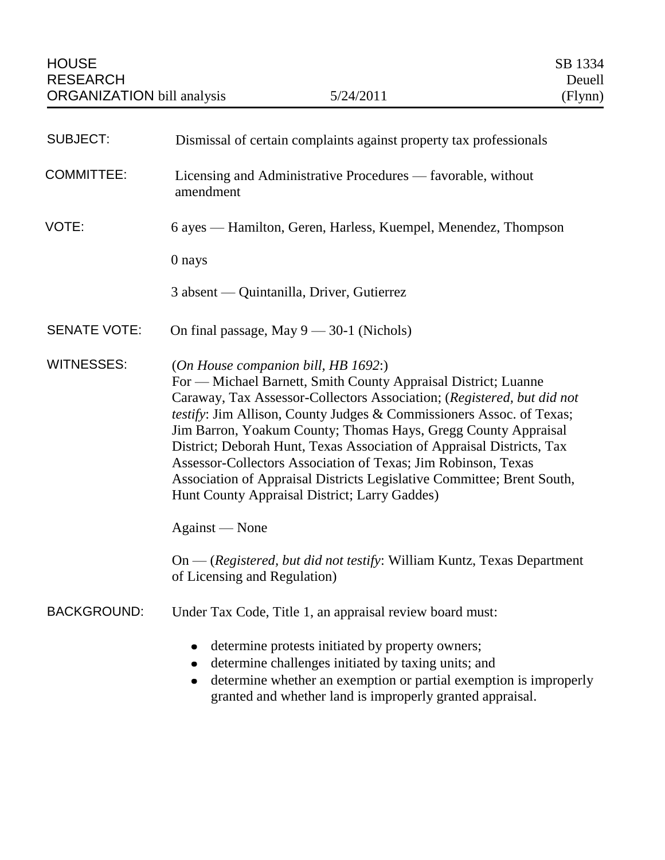| <b>SUBJECT:</b>     | Dismissal of certain complaints against property tax professionals                                                                                                                                                                                                                                                                                                                                                                                                                                                                                                                             |
|---------------------|------------------------------------------------------------------------------------------------------------------------------------------------------------------------------------------------------------------------------------------------------------------------------------------------------------------------------------------------------------------------------------------------------------------------------------------------------------------------------------------------------------------------------------------------------------------------------------------------|
| <b>COMMITTEE:</b>   | Licensing and Administrative Procedures — favorable, without<br>amendment                                                                                                                                                                                                                                                                                                                                                                                                                                                                                                                      |
| VOTE:               | 6 ayes — Hamilton, Geren, Harless, Kuempel, Menendez, Thompson                                                                                                                                                                                                                                                                                                                                                                                                                                                                                                                                 |
|                     | 0 nays                                                                                                                                                                                                                                                                                                                                                                                                                                                                                                                                                                                         |
|                     | 3 absent — Quintanilla, Driver, Gutierrez                                                                                                                                                                                                                                                                                                                                                                                                                                                                                                                                                      |
| <b>SENATE VOTE:</b> | On final passage, May $9 - 30-1$ (Nichols)                                                                                                                                                                                                                                                                                                                                                                                                                                                                                                                                                     |
| <b>WITNESSES:</b>   | (On House companion bill, HB 1692.)<br>For — Michael Barnett, Smith County Appraisal District; Luanne<br>Caraway, Tax Assessor-Collectors Association; (Registered, but did not<br>testify: Jim Allison, County Judges & Commissioners Assoc. of Texas;<br>Jim Barron, Yoakum County; Thomas Hays, Gregg County Appraisal<br>District; Deborah Hunt, Texas Association of Appraisal Districts, Tax<br>Assessor-Collectors Association of Texas; Jim Robinson, Texas<br>Association of Appraisal Districts Legislative Committee; Brent South,<br>Hunt County Appraisal District; Larry Gaddes) |
|                     | Against — None                                                                                                                                                                                                                                                                                                                                                                                                                                                                                                                                                                                 |
|                     | On — (Registered, but did not testify: William Kuntz, Texas Department<br>of Licensing and Regulation)                                                                                                                                                                                                                                                                                                                                                                                                                                                                                         |
| <b>BACKGROUND:</b>  | Under Tax Code, Title 1, an appraisal review board must:                                                                                                                                                                                                                                                                                                                                                                                                                                                                                                                                       |
|                     | determine protests initiated by property owners;<br>determine challenges initiated by taxing units; and<br>determine whether an exemption or partial exemption is improperly<br>granted and whether land is improperly granted appraisal.                                                                                                                                                                                                                                                                                                                                                      |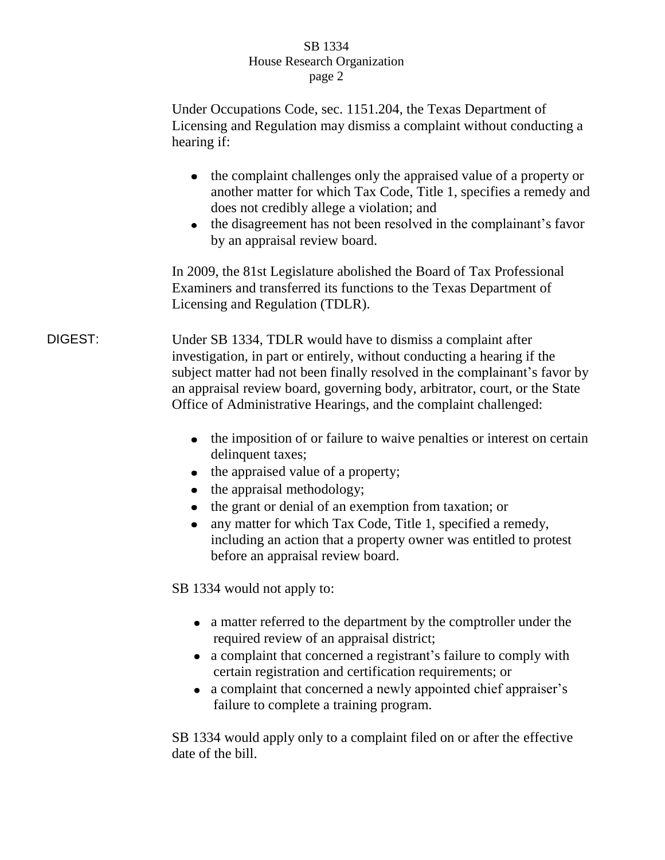## SB 1334 House Research Organization page 2

Under Occupations Code, sec. 1151.204, the Texas Department of Licensing and Regulation may dismiss a complaint without conducting a hearing if:

- the complaint challenges only the appraised value of a property or another matter for which Tax Code, Title 1, specifies a remedy and does not credibly allege a violation; and
- the disagreement has not been resolved in the complainant's favor by an appraisal review board.

In 2009, the 81st Legislature abolished the Board of Tax Professional Examiners and transferred its functions to the Texas Department of Licensing and Regulation (TDLR).

DIGEST: Under SB 1334, TDLR would have to dismiss a complaint after investigation, in part or entirely, without conducting a hearing if the subject matter had not been finally resolved in the complainant's favor by an appraisal review board, governing body, arbitrator, court, or the State Office of Administrative Hearings, and the complaint challenged:

- the imposition of or failure to waive penalties or interest on certain delinquent taxes;
- $\bullet$  the appraised value of a property;
- $\bullet$  the appraisal methodology;
- the grant or denial of an exemption from taxation; or
- any matter for which Tax Code, Title 1, specified a remedy,  $\bullet$ including an action that a property owner was entitled to protest before an appraisal review board.

SB 1334 would not apply to:

- a matter referred to the department by the comptroller under the required review of an appraisal district;
- a complaint that concerned a registrant's failure to comply with certain registration and certification requirements; or
- a complaint that concerned a newly appointed chief appraiser's failure to complete a training program.

SB 1334 would apply only to a complaint filed on or after the effective date of the bill.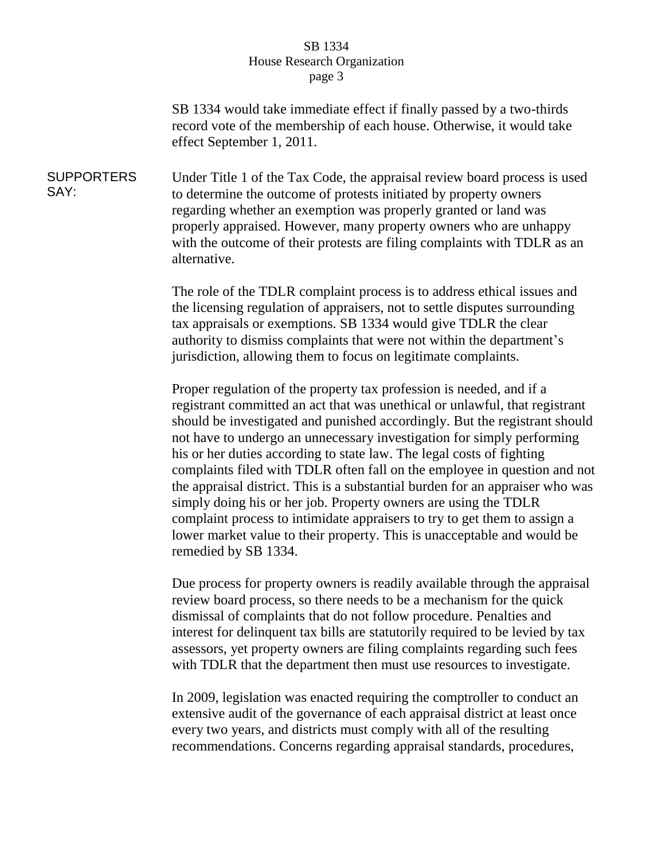## SB 1334 House Research Organization page 3

SB 1334 would take immediate effect if finally passed by a two-thirds record vote of the membership of each house. Otherwise, it would take effect September 1, 2011.

SUPPORTERS SAY: Under Title 1 of the Tax Code, the appraisal review board process is used to determine the outcome of protests initiated by property owners regarding whether an exemption was properly granted or land was properly appraised. However, many property owners who are unhappy with the outcome of their protests are filing complaints with TDLR as an alternative.

> The role of the TDLR complaint process is to address ethical issues and the licensing regulation of appraisers, not to settle disputes surrounding tax appraisals or exemptions. SB 1334 would give TDLR the clear authority to dismiss complaints that were not within the department's jurisdiction, allowing them to focus on legitimate complaints.

Proper regulation of the property tax profession is needed, and if a registrant committed an act that was unethical or unlawful, that registrant should be investigated and punished accordingly. But the registrant should not have to undergo an unnecessary investigation for simply performing his or her duties according to state law. The legal costs of fighting complaints filed with TDLR often fall on the employee in question and not the appraisal district. This is a substantial burden for an appraiser who was simply doing his or her job. Property owners are using the TDLR complaint process to intimidate appraisers to try to get them to assign a lower market value to their property. This is unacceptable and would be remedied by SB 1334.

Due process for property owners is readily available through the appraisal review board process, so there needs to be a mechanism for the quick dismissal of complaints that do not follow procedure. Penalties and interest for delinquent tax bills are statutorily required to be levied by tax assessors, yet property owners are filing complaints regarding such fees with TDLR that the department then must use resources to investigate.

In 2009, legislation was enacted requiring the comptroller to conduct an extensive audit of the governance of each appraisal district at least once every two years, and districts must comply with all of the resulting recommendations. Concerns regarding appraisal standards, procedures,